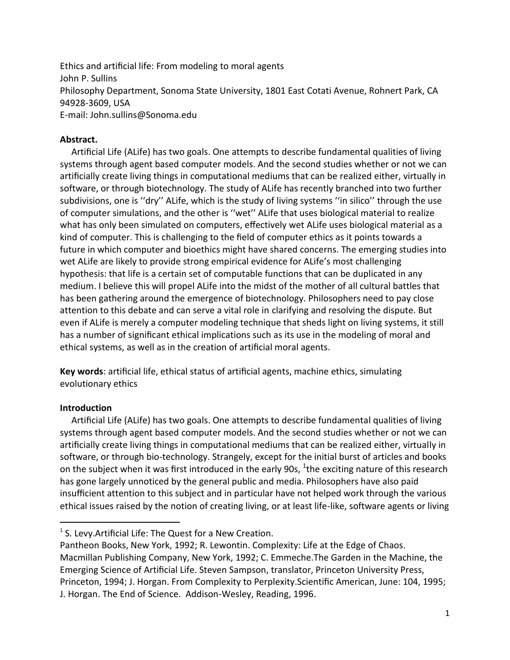Ethics and artificial life: From modeling to moral agents John P. Sullins Philosophy Department, Sonoma State University, 1801 East Cotati Avenue, Rohnert Park, CA 94928-3609, USA E-mail: John.sullins@Sonoma.edu

# **Abstract.**

 Artificial Life (ALife) has two goals. One attempts to describe fundamental qualities of living systems through agent based computer models. And the second studies whether or not we can artificially create living things in computational mediums that can be realized either, virtually in software, or through biotechnology. The study of ALife has recently branched into two further subdivisions, one is ''dry'' ALife, which is the study of living systems ''in silico'' through the use of computer simulations, and the other is ''wet'' ALife that uses biological material to realize what has only been simulated on computers, effectively wet ALife uses biological material as a kind of computer. This is challenging to the field of computer ethics as it points towards a future in which computer and bioethics might have shared concerns. The emerging studies into wet ALife are likely to provide strong empirical evidence for ALife's most challenging hypothesis: that life is a certain set of computable functions that can be duplicated in any medium. I believe this will propel ALife into the midst of the mother of all cultural battles that has been gathering around the emergence of biotechnology. Philosophers need to pay close attention to this debate and can serve a vital role in clarifying and resolving the dispute. But even if ALife is merely a computer modeling technique that sheds light on living systems, it still has a number of significant ethical implications such as its use in the modeling of moral and ethical systems, as well as in the creation of artificial moral agents.

**Key words**: artificial life, ethical status of artificial agents, machine ethics, simulating evolutionary ethics

# **Introduction**

 $\overline{a}$ 

 Artificial Life (ALife) has two goals. One attempts to describe fundamental qualities of living systems through agent based computer models. And the second studies whether or not we can artificially create living things in computational mediums that can be realized either, virtually in software, or through bio-technology. Strangely, except for the initial burst of articles and books on the subject when it was first introduced in the early 90s,  ${}^{1}$ the exciting nature of this research has gone largely unnoticed by the general public and media. Philosophers have also paid insufficient attention to this subject and in particular have not helped work through the various ethical issues raised by the notion of creating living, or at least life-like, software agents or living

 $<sup>1</sup>$  S. Levy. Artificial Life: The Quest for a New Creation.</sup>

Pantheon Books, New York, 1992; R. Lewontin. Complexity: Life at the Edge of Chaos. Macmillan Publishing Company, New York, 1992; C. Emmeche.The Garden in the Machine, the Emerging Science of Artificial Life. Steven Sampson, translator, Princeton University Press, Princeton, 1994; J. Horgan. From Complexity to Perplexity.Scientific American, June: 104, 1995; J. Horgan. The End of Science. Addison-Wesley, Reading, 1996.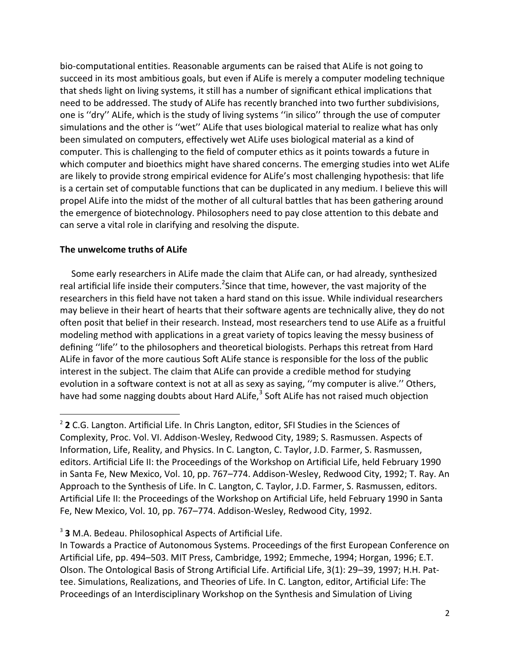bio-computational entities. Reasonable arguments can be raised that ALife is not going to succeed in its most ambitious goals, but even if ALife is merely a computer modeling technique that sheds light on living systems, it still has a number of significant ethical implications that need to be addressed. The study of ALife has recently branched into two further subdivisions, one is ''dry'' ALife, which is the study of living systems ''in silico'' through the use of computer simulations and the other is ''wet'' ALife that uses biological material to realize what has only been simulated on computers, effectively wet ALife uses biological material as a kind of computer. This is challenging to the field of computer ethics as it points towards a future in which computer and bioethics might have shared concerns. The emerging studies into wet ALife are likely to provide strong empirical evidence for ALife's most challenging hypothesis: that life is a certain set of computable functions that can be duplicated in any medium. I believe this will propel ALife into the midst of the mother of all cultural battles that has been gathering around the emergence of biotechnology. Philosophers need to pay close attention to this debate and can serve a vital role in clarifying and resolving the dispute.

# **The unwelcome truths of ALife**

 $\overline{\phantom{a}}$ 

Some early researchers in ALife made the claim that ALife can, or had already, synthesized real artificial life inside their computers.<sup>2</sup>Since that time, however, the vast majority of the researchers in this field have not taken a hard stand on this issue. While individual researchers may believe in their heart of hearts that their software agents are technically alive, they do not often posit that belief in their research. Instead, most researchers tend to use ALife as a fruitful modeling method with applications in a great variety of topics leaving the messy business of defining ''life'' to the philosophers and theoretical biologists. Perhaps this retreat from Hard ALife in favor of the more cautious Soft ALife stance is responsible for the loss of the public interest in the subject. The claim that ALife can provide a credible method for studying evolution in a software context is not at all as sexy as saying, ''my computer is alive.'' Others, have had some nagging doubts about Hard ALife,<sup>3</sup> Soft ALife has not raised much objection

3 **3** M.A. Bedeau. Philosophical Aspects of Artificial Life.

<sup>2</sup> **2** C.G. Langton. Artificial Life. In Chris Langton, editor, SFI Studies in the Sciences of Complexity, Proc. Vol. VI. Addison-Wesley, Redwood City, 1989; S. Rasmussen. Aspects of Information, Life, Reality, and Physics. In C. Langton, C. Taylor, J.D. Farmer, S. Rasmussen, editors. Artificial Life II: the Proceedings of the Workshop on Artificial Life, held February 1990 in Santa Fe, New Mexico, Vol. 10, pp. 767–774. Addison-Wesley, Redwood City, 1992; T. Ray. An Approach to the Synthesis of Life. In C. Langton, C. Taylor, J.D. Farmer, S. Rasmussen, editors. Artificial Life II: the Proceedings of the Workshop on Artificial Life, held February 1990 in Santa Fe, New Mexico, Vol. 10, pp. 767–774. Addison-Wesley, Redwood City, 1992.

In Towards a Practice of Autonomous Systems. Proceedings of the first European Conference on Artificial Life, pp. 494–503. MIT Press, Cambridge, 1992; Emmeche, 1994; Horgan, 1996; E.T. Olson. The Ontological Basis of Strong Artificial Life. Artificial Life, 3(1): 29–39, 1997; H.H. Pattee. Simulations, Realizations, and Theories of Life. In C. Langton, editor, Artificial Life: The Proceedings of an Interdisciplinary Workshop on the Synthesis and Simulation of Living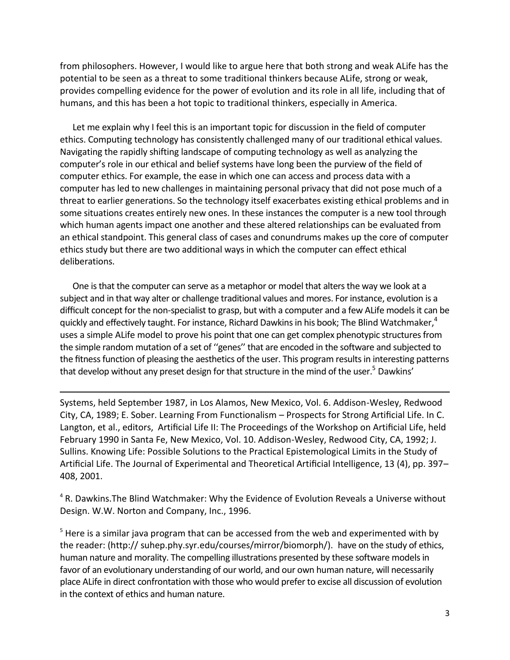from philosophers. However, I would like to argue here that both strong and weak ALife has the potential to be seen as a threat to some traditional thinkers because ALife, strong or weak, provides compelling evidence for the power of evolution and its role in all life, including that of humans, and this has been a hot topic to traditional thinkers, especially in America.

Let me explain why I feel this is an important topic for discussion in the field of computer ethics. Computing technology has consistently challenged many of our traditional ethical values. Navigating the rapidly shifting landscape of computing technology as well as analyzing the computer's role in our ethical and belief systems have long been the purview of the field of computer ethics. For example, the ease in which one can access and process data with a computer has led to new challenges in maintaining personal privacy that did not pose much of a threat to earlier generations. So the technology itself exacerbates existing ethical problems and in some situations creates entirely new ones. In these instances the computer is a new tool through which human agents impact one another and these altered relationships can be evaluated from an ethical standpoint. This general class of cases and conundrums makes up the core of computer ethics study but there are two additional ways in which the computer can effect ethical deliberations.

One is that the computer can serve as a metaphor or model that alters the way we look at a subject and in that way alter or challenge traditional values and mores. For instance, evolution is a difficult concept for the non-specialist to grasp, but with a computer and a few ALife models it can be quickly and effectively taught. For instance, Richard Dawkins in his book; The Blind Watchmaker, $^4$ uses a simple ALife model to prove his point that one can get complex phenotypic structures from the simple random mutation of a set of ''genes'' that are encoded in the software and subjected to the fitness function of pleasing the aesthetics of the user. This program results in interesting patterns that develop without any preset design for that structure in the mind of the user.<sup>5</sup> Dawkins'

Systems, held September 1987, in Los Alamos, New Mexico, Vol. 6. Addison-Wesley, Redwood City, CA, 1989; E. Sober. Learning From Functionalism – Prospects for Strong Artificial Life. In C. Langton, et al., editors, Artificial Life II: The Proceedings of the Workshop on Artificial Life, held February 1990 in Santa Fe, New Mexico, Vol. 10. Addison-Wesley, Redwood City, CA, 1992; J. Sullins. Knowing Life: Possible Solutions to the Practical Epistemological Limits in the Study of Artificial Life. The Journal of Experimental and Theoretical Artificial Intelligence, 13 (4), pp. 397– 408, 2001.

l

<sup>4</sup> R. Dawkins.The Blind Watchmaker: Why the Evidence of Evolution Reveals a Universe without Design. W.W. Norton and Company, Inc., 1996.

 $5$  Here is a similar java program that can be accessed from the web and experimented with by the reader: (http:// suhep.phy.syr.edu/courses/mirror/biomorph/). have on the study of ethics, human nature and morality. The compelling illustrations presented by these software models in favor of an evolutionary understanding of our world, and our own human nature, will necessarily place ALife in direct confrontation with those who would prefer to excise all discussion of evolution in the context of ethics and human nature.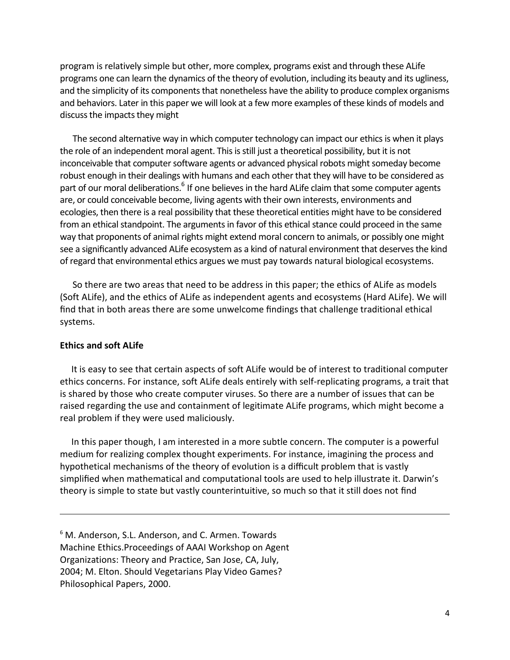program is relatively simple but other, more complex, programs exist and through these ALife programs one can learn the dynamics of the theory of evolution, including its beauty and its ugliness, and the simplicity of its components that nonetheless have the ability to produce complex organisms and behaviors. Later in this paper we will look at a few more examples of these kinds of models and discuss the impacts they might

The second alternative way in which computer technology can impact our ethics is when it plays the role of an independent moral agent. This is still just a theoretical possibility, but it is not inconceivable that computer software agents or advanced physical robots might someday become robust enough in their dealings with humans and each other that they will have to be considered as part of our moral deliberations.<sup>6</sup> If one believes in the hard ALife claim that some computer agents are, or could conceivable become, living agents with their own interests, environments and ecologies, then there is a real possibility that these theoretical entities might have to be considered from an ethical standpoint. The arguments in favor of this ethical stance could proceed in the same way that proponents of animal rights might extend moral concern to animals, or possibly one might see a significantly advanced ALife ecosystem as a kind of natural environment that deserves the kind of regard that environmental ethics argues we must pay towards natural biological ecosystems.

So there are two areas that need to be address in this paper; the ethics of ALife as models (Soft ALife), and the ethics of ALife as independent agents and ecosystems (Hard ALife). We will find that in both areas there are some unwelcome findings that challenge traditional ethical systems.

#### **Ethics and soft ALife**

 $\overline{\phantom{a}}$ 

 It is easy to see that certain aspects of soft ALife would be of interest to traditional computer ethics concerns. For instance, soft ALife deals entirely with self-replicating programs, a trait that is shared by those who create computer viruses. So there are a number of issues that can be raised regarding the use and containment of legitimate ALife programs, which might become a real problem if they were used maliciously.

 In this paper though, I am interested in a more subtle concern. The computer is a powerful medium for realizing complex thought experiments. For instance, imagining the process and hypothetical mechanisms of the theory of evolution is a difficult problem that is vastly simplified when mathematical and computational tools are used to help illustrate it. Darwin's theory is simple to state but vastly counterintuitive, so much so that it still does not find

<sup>&</sup>lt;sup>6</sup> M. Anderson, S.L. Anderson, and C. Armen. Towards Machine Ethics.Proceedings of AAAI Workshop on Agent Organizations: Theory and Practice, San Jose, CA, July, 2004; M. Elton. Should Vegetarians Play Video Games? Philosophical Papers, 2000.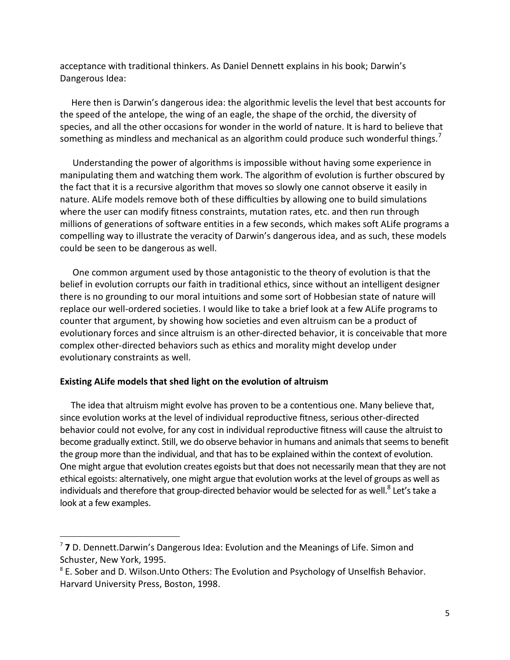acceptance with traditional thinkers. As Daniel Dennett explains in his book; Darwin's Dangerous Idea:

 Here then is Darwin's dangerous idea: the algorithmic levelis the level that best accounts for the speed of the antelope, the wing of an eagle, the shape of the orchid, the diversity of species, and all the other occasions for wonder in the world of nature. It is hard to believe that something as mindless and mechanical as an algorithm could produce such wonderful things.<sup>7</sup>

Understanding the power of algorithms is impossible without having some experience in manipulating them and watching them work. The algorithm of evolution is further obscured by the fact that it is a recursive algorithm that moves so slowly one cannot observe it easily in nature. ALife models remove both of these difficulties by allowing one to build simulations where the user can modify fitness constraints, mutation rates, etc. and then run through millions of generations of software entities in a few seconds, which makes soft ALife programs a compelling way to illustrate the veracity of Darwin's dangerous idea, and as such, these models could be seen to be dangerous as well.

One common argument used by those antagonistic to the theory of evolution is that the belief in evolution corrupts our faith in traditional ethics, since without an intelligent designer there is no grounding to our moral intuitions and some sort of Hobbesian state of nature will replace our well-ordered societies. I would like to take a brief look at a few ALife programs to counter that argument, by showing how societies and even altruism can be a product of evolutionary forces and since altruism is an other-directed behavior, it is conceivable that more complex other-directed behaviors such as ethics and morality might develop under evolutionary constraints as well.

### **Existing ALife models that shed light on the evolution of altruism**

 $\overline{\phantom{a}}$ 

 The idea that altruism might evolve has proven to be a contentious one. Many believe that, since evolution works at the level of individual reproductive fitness, serious other-directed behavior could not evolve, for any cost in individual reproductive fitness will cause the altruist to become gradually extinct. Still, we do observe behavior in humans and animals that seems to benefit the group more than the individual, and that has to be explained within the context of evolution. One might argue that evolution creates egoists but that does not necessarily mean that they are not ethical egoists: alternatively, one might argue that evolution works at the level of groups as well as individuals and therefore that group-directed behavior would be selected for as well.<sup>8</sup> Let's take a look at a few examples.

<sup>7</sup> **7** D. Dennett.Darwin's Dangerous Idea: Evolution and the Meanings of Life. Simon and Schuster, New York, 1995.

<sup>&</sup>lt;sup>8</sup> E. Sober and D. Wilson. Unto Others: The Evolution and Psychology of Unselfish Behavior. Harvard University Press, Boston, 1998.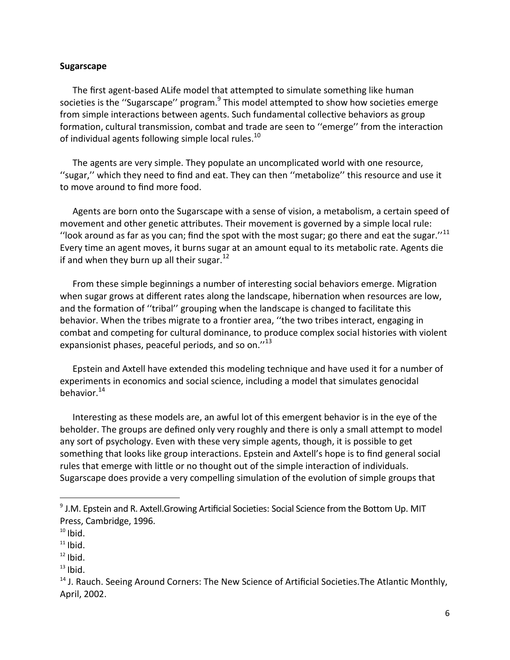#### **Sugarscape**

The first agent-based ALife model that attempted to simulate something like human societies is the "Sugarscape" program.<sup>9</sup> This model attempted to show how societies emerge from simple interactions between agents. Such fundamental collective behaviors as group formation, cultural transmission, combat and trade are seen to ''emerge'' from the interaction of individual agents following simple local rules.<sup>10</sup>

The agents are very simple. They populate an uncomplicated world with one resource, ''sugar,'' which they need to find and eat. They can then ''metabolize'' this resource and use it to move around to find more food.

Agents are born onto the Sugarscape with a sense of vision, a metabolism, a certain speed of movement and other genetic attributes. Their movement is governed by a simple local rule: "look around as far as you can; find the spot with the most sugar; go there and eat the sugar." $^{11}$ Every time an agent moves, it burns sugar at an amount equal to its metabolic rate. Agents die if and when they burn up all their sugar.<sup>12</sup>

From these simple beginnings a number of interesting social behaviors emerge. Migration when sugar grows at different rates along the landscape, hibernation when resources are low, and the formation of ''tribal'' grouping when the landscape is changed to facilitate this behavior. When the tribes migrate to a frontier area, ''the two tribes interact, engaging in combat and competing for cultural dominance, to produce complex social histories with violent expansionist phases, peaceful periods, and so on.<sup>"13</sup>

Epstein and Axtell have extended this modeling technique and have used it for a number of experiments in economics and social science, including a model that simulates genocidal behavior.<sup>14</sup>

Interesting as these models are, an awful lot of this emergent behavior is in the eye of the beholder. The groups are defined only very roughly and there is only a small attempt to model any sort of psychology. Even with these very simple agents, though, it is possible to get something that looks like group interactions. Epstein and Axtell's hope is to find general social rules that emerge with little or no thought out of the simple interaction of individuals. Sugarscape does provide a very compelling simulation of the evolution of simple groups that

 $\overline{\phantom{a}}$ 

 $^9$  J.M. Epstein and R. Axtell.Growing Artificial Societies: Social Science from the Bottom Up. MIT Press, Cambridge, 1996.

 $10$  Ibid.

 $11$  Ibid.

 $12$  Ibid.

 $13$  Ibid.

<sup>&</sup>lt;sup>14</sup> J. Rauch. Seeing Around Corners: The New Science of Artificial Societies. The Atlantic Monthly, April, 2002.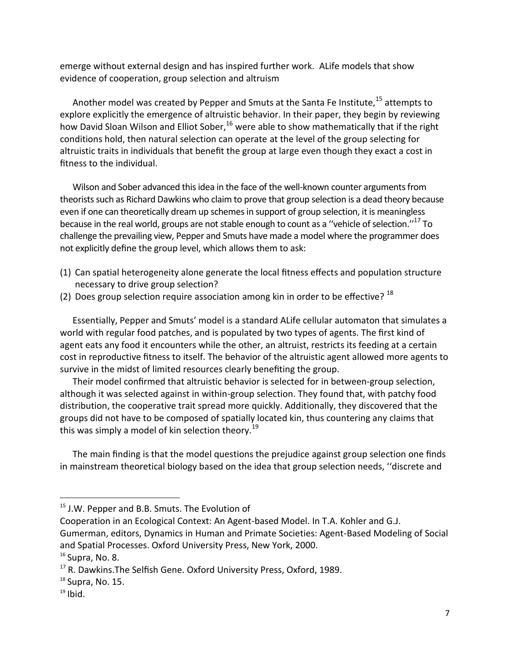emerge without external design and has inspired further work. ALife models that show evidence of cooperation, group selection and altruism

Another model was created by Pepper and Smuts at the Santa Fe Institute, <sup>15</sup> attempts to explore explicitly the emergence of altruistic behavior. In their paper, they begin by reviewing how David Sloan Wilson and Elliot Sober,<sup>16</sup> were able to show mathematically that if the right conditions hold, then natural selection can operate at the level of the group selecting for altruistic traits in individuals that benefit the group at large even though they exact a cost in fitness to the individual.

Wilson and Sober advanced this idea in the face of the well-known counter arguments from theorists such as Richard Dawkins who claim to prove that group selection is a dead theory because even if one can theoretically dream up schemes in support of group selection, it is meaningless because in the real world, groups are not stable enough to count as a "vehicle of selection."<sup>17</sup> To challenge the prevailing view, Pepper and Smuts have made a model where the programmer does not explicitly define the group level, which allows them to ask:

- (1) Can spatial heterogeneity alone generate the local fitness effects and population structure necessary to drive group selection?
- (2) Does group selection require association among kin in order to be effective?  $^{18}$

Essentially, Pepper and Smuts' model is a standard ALife cellular automaton that simulates a world with regular food patches, and is populated by two types of agents. The first kind of agent eats any food it encounters while the other, an altruist, restricts its feeding at a certain cost in reproductive fitness to itself. The behavior of the altruistic agent allowed more agents to survive in the midst of limited resources clearly benefiting the group.

Their model confirmed that altruistic behavior is selected for in between-group selection, although it was selected against in within-group selection. They found that, with patchy food distribution, the cooperative trait spread more quickly. Additionally, they discovered that the groups did not have to be composed of spatially located kin, thus countering any claims that this was simply a model of kin selection theory.<sup>19</sup>

The main finding is that the model questions the prejudice against group selection one finds in mainstream theoretical biology based on the idea that group selection needs, ''discrete and

 $\overline{\phantom{a}}$ 

<sup>&</sup>lt;sup>15</sup> J.W. Pepper and B.B. Smuts. The Evolution of

Cooperation in an Ecological Context: An Agent-based Model. In T.A. Kohler and G.J. Gumerman, editors, Dynamics in Human and Primate Societies: Agent-Based Modeling of Social and Spatial Processes. Oxford University Press, New York, 2000.

 $16$  Supra, No. 8.

<sup>&</sup>lt;sup>17</sup> R. Dawkins. The Selfish Gene. Oxford University Press, Oxford, 1989.

 $18$  Supra, No. 15.

 $19$  Ibid.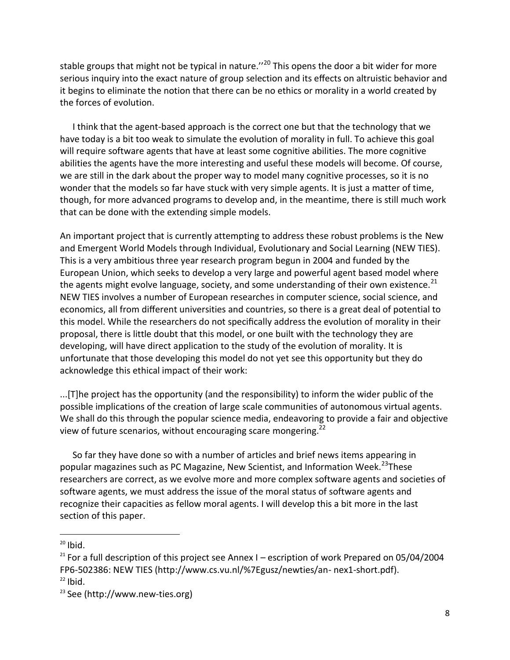stable groups that might not be typical in nature."<sup>20</sup> This opens the door a bit wider for more serious inquiry into the exact nature of group selection and its effects on altruistic behavior and it begins to eliminate the notion that there can be no ethics or morality in a world created by the forces of evolution.

I think that the agent-based approach is the correct one but that the technology that we have today is a bit too weak to simulate the evolution of morality in full. To achieve this goal will require software agents that have at least some cognitive abilities. The more cognitive abilities the agents have the more interesting and useful these models will become. Of course, we are still in the dark about the proper way to model many cognitive processes, so it is no wonder that the models so far have stuck with very simple agents. It is just a matter of time, though, for more advanced programs to develop and, in the meantime, there is still much work that can be done with the extending simple models.

An important project that is currently attempting to address these robust problems is the New and Emergent World Models through Individual, Evolutionary and Social Learning (NEW TIES). This is a very ambitious three year research program begun in 2004 and funded by the European Union, which seeks to develop a very large and powerful agent based model where the agents might evolve language, society, and some understanding of their own existence.<sup>21</sup> NEW TIES involves a number of European researches in computer science, social science, and economics, all from different universities and countries, so there is a great deal of potential to this model. While the researchers do not specifically address the evolution of morality in their proposal, there is little doubt that this model, or one built with the technology they are developing, will have direct application to the study of the evolution of morality. It is unfortunate that those developing this model do not yet see this opportunity but they do acknowledge this ethical impact of their work:

...[T]he project has the opportunity (and the responsibility) to inform the wider public of the possible implications of the creation of large scale communities of autonomous virtual agents. We shall do this through the popular science media, endeavoring to provide a fair and objective view of future scenarios, without encouraging scare mongering.<sup>22</sup>

So far they have done so with a number of articles and brief news items appearing in popular magazines such as PC Magazine, New Scientist, and Information Week.<sup>23</sup>These researchers are correct, as we evolve more and more complex software agents and societies of software agents, we must address the issue of the moral status of software agents and recognize their capacities as fellow moral agents. I will develop this a bit more in the last section of this paper.

 $20$  Ibid.

 $21$  For a full description of this project see Annex I – escription of work Prepared on 05/04/2004 FP6-502386: NEW TIES (http://www.cs.vu.nl/%7Egusz/newties/an- nex1-short.pdf).  $22$  Ibid.

<sup>&</sup>lt;sup>23</sup> See (http://www.new-ties.org)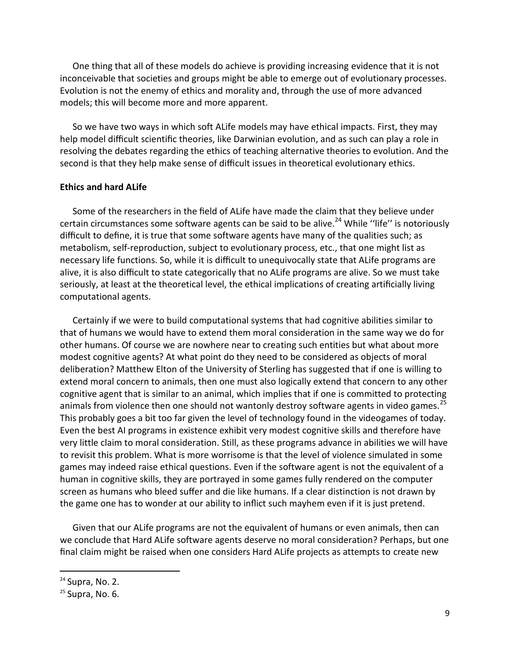One thing that all of these models do achieve is providing increasing evidence that it is not inconceivable that societies and groups might be able to emerge out of evolutionary processes. Evolution is not the enemy of ethics and morality and, through the use of more advanced models; this will become more and more apparent.

So we have two ways in which soft ALife models may have ethical impacts. First, they may help model difficult scientific theories, like Darwinian evolution, and as such can play a role in resolving the debates regarding the ethics of teaching alternative theories to evolution. And the second is that they help make sense of difficult issues in theoretical evolutionary ethics.

#### **Ethics and hard ALife**

Some of the researchers in the field of ALife have made the claim that they believe under certain circumstances some software agents can be said to be alive.<sup>24</sup> While "life" is notoriously difficult to define, it is true that some software agents have many of the qualities such; as metabolism, self-reproduction, subject to evolutionary process, etc., that one might list as necessary life functions. So, while it is difficult to unequivocally state that ALife programs are alive, it is also difficult to state categorically that no ALife programs are alive. So we must take seriously, at least at the theoretical level, the ethical implications of creating artificially living computational agents.

Certainly if we were to build computational systems that had cognitive abilities similar to that of humans we would have to extend them moral consideration in the same way we do for other humans. Of course we are nowhere near to creating such entities but what about more modest cognitive agents? At what point do they need to be considered as objects of moral deliberation? Matthew Elton of the University of Sterling has suggested that if one is willing to extend moral concern to animals, then one must also logically extend that concern to any other cognitive agent that is similar to an animal, which implies that if one is committed to protecting animals from violence then one should not wantonly destroy software agents in video games.<sup>25</sup> This probably goes a bit too far given the level of technology found in the videogames of today. Even the best AI programs in existence exhibit very modest cognitive skills and therefore have very little claim to moral consideration. Still, as these programs advance in abilities we will have to revisit this problem. What is more worrisome is that the level of violence simulated in some games may indeed raise ethical questions. Even if the software agent is not the equivalent of a human in cognitive skills, they are portrayed in some games fully rendered on the computer screen as humans who bleed suffer and die like humans. If a clear distinction is not drawn by the game one has to wonder at our ability to inflict such mayhem even if it is just pretend.

Given that our ALife programs are not the equivalent of humans or even animals, then can we conclude that Hard ALife software agents deserve no moral consideration? Perhaps, but one final claim might be raised when one considers Hard ALife projects as attempts to create new

 $24$  Supra, No. 2.

 $25$  Supra, No. 6.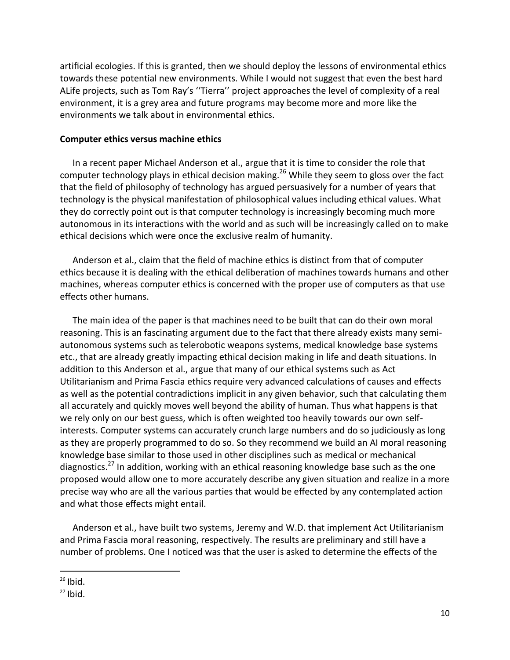artificial ecologies. If this is granted, then we should deploy the lessons of environmental ethics towards these potential new environments. While I would not suggest that even the best hard ALife projects, such as Tom Ray's ''Tierra'' project approaches the level of complexity of a real environment, it is a grey area and future programs may become more and more like the environments we talk about in environmental ethics.

### **Computer ethics versus machine ethics**

In a recent paper Michael Anderson et al., argue that it is time to consider the role that computer technology plays in ethical decision making.<sup>26</sup> While they seem to gloss over the fact that the field of philosophy of technology has argued persuasively for a number of years that technology is the physical manifestation of philosophical values including ethical values. What they do correctly point out is that computer technology is increasingly becoming much more autonomous in its interactions with the world and as such will be increasingly called on to make ethical decisions which were once the exclusive realm of humanity.

Anderson et al., claim that the field of machine ethics is distinct from that of computer ethics because it is dealing with the ethical deliberation of machines towards humans and other machines, whereas computer ethics is concerned with the proper use of computers as that use effects other humans.

The main idea of the paper is that machines need to be built that can do their own moral reasoning. This is an fascinating argument due to the fact that there already exists many semiautonomous systems such as telerobotic weapons systems, medical knowledge base systems etc., that are already greatly impacting ethical decision making in life and death situations. In addition to this Anderson et al., argue that many of our ethical systems such as Act Utilitarianism and Prima Fascia ethics require very advanced calculations of causes and effects as well as the potential contradictions implicit in any given behavior, such that calculating them all accurately and quickly moves well beyond the ability of human. Thus what happens is that we rely only on our best guess, which is often weighted too heavily towards our own selfinterests. Computer systems can accurately crunch large numbers and do so judiciously as long as they are properly programmed to do so. So they recommend we build an AI moral reasoning knowledge base similar to those used in other disciplines such as medical or mechanical diagnostics.<sup>27</sup> In addition, working with an ethical reasoning knowledge base such as the one proposed would allow one to more accurately describe any given situation and realize in a more precise way who are all the various parties that would be effected by any contemplated action and what those effects might entail.

Anderson et al., have built two systems, Jeremy and W.D. that implement Act Utilitarianism and Prima Fascia moral reasoning, respectively. The results are preliminary and still have a number of problems. One I noticed was that the user is asked to determine the effects of the

 $\overline{a}$  $26$  Ibid.

 $27$  Ibid.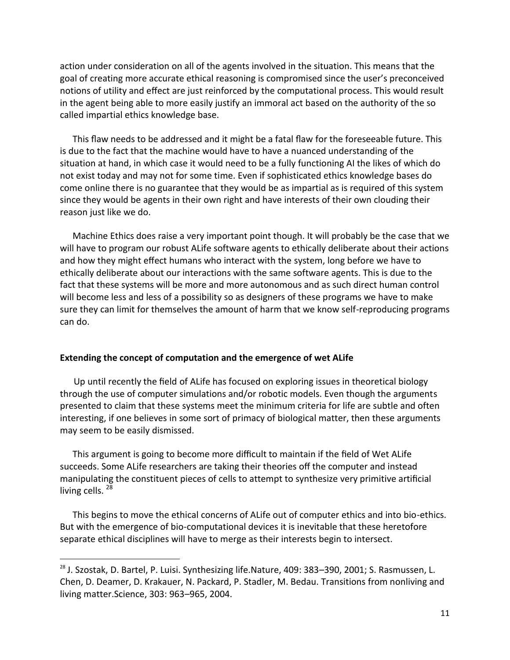action under consideration on all of the agents involved in the situation. This means that the goal of creating more accurate ethical reasoning is compromised since the user's preconceived notions of utility and effect are just reinforced by the computational process. This would result in the agent being able to more easily justify an immoral act based on the authority of the so called impartial ethics knowledge base.

This flaw needs to be addressed and it might be a fatal flaw for the foreseeable future. This is due to the fact that the machine would have to have a nuanced understanding of the situation at hand, in which case it would need to be a fully functioning AI the likes of which do not exist today and may not for some time. Even if sophisticated ethics knowledge bases do come online there is no guarantee that they would be as impartial as is required of this system since they would be agents in their own right and have interests of their own clouding their reason just like we do.

Machine Ethics does raise a very important point though. It will probably be the case that we will have to program our robust ALife software agents to ethically deliberate about their actions and how they might effect humans who interact with the system, long before we have to ethically deliberate about our interactions with the same software agents. This is due to the fact that these systems will be more and more autonomous and as such direct human control will become less and less of a possibility so as designers of these programs we have to make sure they can limit for themselves the amount of harm that we know self-reproducing programs can do.

### **Extending the concept of computation and the emergence of wet ALife**

 $\overline{a}$ 

 Up until recently the field of ALife has focused on exploring issues in theoretical biology through the use of computer simulations and/or robotic models. Even though the arguments presented to claim that these systems meet the minimum criteria for life are subtle and often interesting, if one believes in some sort of primacy of biological matter, then these arguments may seem to be easily dismissed.

This argument is going to become more difficult to maintain if the field of Wet ALife succeeds. Some ALife researchers are taking their theories off the computer and instead manipulating the constituent pieces of cells to attempt to synthesize very primitive artificial living cells.<sup>28</sup>

This begins to move the ethical concerns of ALife out of computer ethics and into bio-ethics. But with the emergence of bio-computational devices it is inevitable that these heretofore separate ethical disciplines will have to merge as their interests begin to intersect.

<sup>&</sup>lt;sup>28</sup> J. Szostak, D. Bartel, P. Luisi. Synthesizing life.Nature, 409: 383–390, 2001; S. Rasmussen, L. Chen, D. Deamer, D. Krakauer, N. Packard, P. Stadler, M. Bedau. Transitions from nonliving and living matter.Science, 303: 963–965, 2004.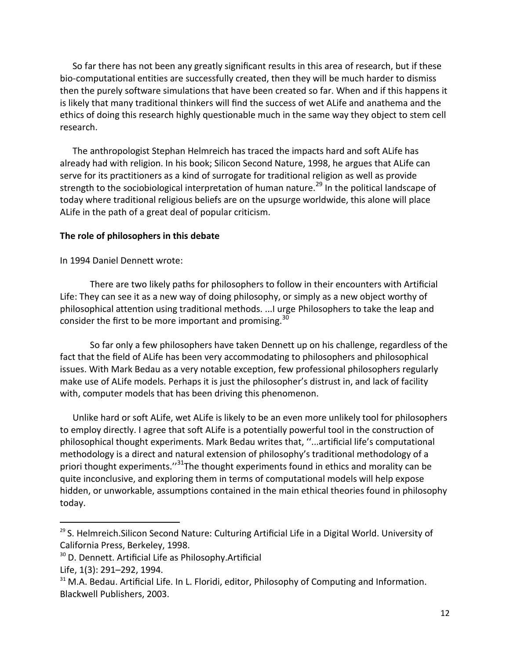So far there has not been any greatly significant results in this area of research, but if these bio-computational entities are successfully created, then they will be much harder to dismiss then the purely software simulations that have been created so far. When and if this happens it is likely that many traditional thinkers will find the success of wet ALife and anathema and the ethics of doing this research highly questionable much in the same way they object to stem cell research.

The anthropologist Stephan Helmreich has traced the impacts hard and soft ALife has already had with religion. In his book; Silicon Second Nature, 1998, he argues that ALife can serve for its practitioners as a kind of surrogate for traditional religion as well as provide strength to the sociobiological interpretation of human nature.<sup>29</sup> In the political landscape of today where traditional religious beliefs are on the upsurge worldwide, this alone will place ALife in the path of a great deal of popular criticism.

# **The role of philosophers in this debate**

In 1994 Daniel Dennett wrote:

There are two likely paths for philosophers to follow in their encounters with Artificial Life: They can see it as a new way of doing philosophy, or simply as a new object worthy of philosophical attention using traditional methods. ...I urge Philosophers to take the leap and consider the first to be more important and promising.<sup>30</sup>

So far only a few philosophers have taken Dennett up on his challenge, regardless of the fact that the field of ALife has been very accommodating to philosophers and philosophical issues. With Mark Bedau as a very notable exception, few professional philosophers regularly make use of ALife models. Perhaps it is just the philosopher's distrust in, and lack of facility with, computer models that has been driving this phenomenon.

Unlike hard or soft ALife, wet ALife is likely to be an even more unlikely tool for philosophers to employ directly. I agree that soft ALife is a potentially powerful tool in the construction of philosophical thought experiments. Mark Bedau writes that, ''...artificial life's computational methodology is a direct and natural extension of philosophy's traditional methodology of a priori thought experiments."<sup>31</sup>The thought experiments found in ethics and morality can be quite inconclusive, and exploring them in terms of computational models will help expose hidden, or unworkable, assumptions contained in the main ethical theories found in philosophy today.

<sup>&</sup>lt;sup>29</sup> S. Helmreich.Silicon Second Nature: Culturing Artificial Life in a Digital World. University of California Press, Berkeley, 1998.

<sup>30</sup> D. Dennett. Artificial Life as Philosophy.Artificial

Life, 1(3): 291–292, 1994.

 $31$  M.A. Bedau. Artificial Life. In L. Floridi, editor, Philosophy of Computing and Information. Blackwell Publishers, 2003.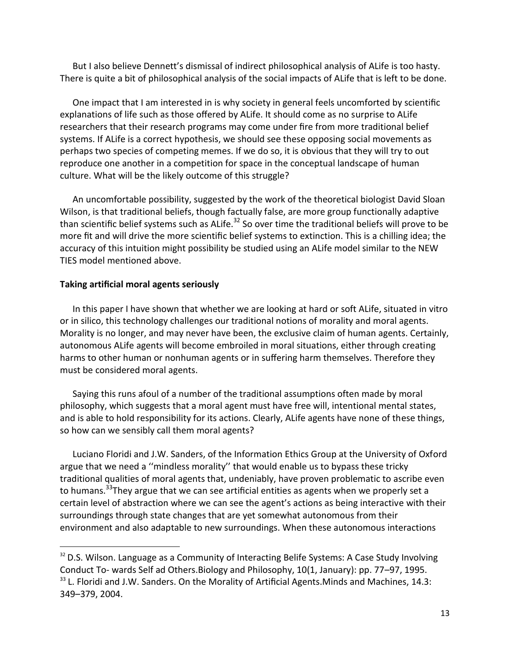But I also believe Dennett's dismissal of indirect philosophical analysis of ALife is too hasty. There is quite a bit of philosophical analysis of the social impacts of ALife that is left to be done.

One impact that I am interested in is why society in general feels uncomforted by scientific explanations of life such as those offered by ALife. It should come as no surprise to ALife researchers that their research programs may come under fire from more traditional belief systems. If ALife is a correct hypothesis, we should see these opposing social movements as perhaps two species of competing memes. If we do so, it is obvious that they will try to out reproduce one another in a competition for space in the conceptual landscape of human culture. What will be the likely outcome of this struggle?

An uncomfortable possibility, suggested by the work of the theoretical biologist David Sloan Wilson, is that traditional beliefs, though factually false, are more group functionally adaptive than scientific belief systems such as ALife.<sup>32</sup> So over time the traditional beliefs will prove to be more fit and will drive the more scientific belief systems to extinction. This is a chilling idea; the accuracy of this intuition might possibility be studied using an ALife model similar to the NEW TIES model mentioned above.

### **Taking artificial moral agents seriously**

 $\overline{a}$ 

In this paper I have shown that whether we are looking at hard or soft ALife, situated in vitro or in silico, this technology challenges our traditional notions of morality and moral agents. Morality is no longer, and may never have been, the exclusive claim of human agents. Certainly, autonomous ALife agents will become embroiled in moral situations, either through creating harms to other human or nonhuman agents or in suffering harm themselves. Therefore they must be considered moral agents.

Saying this runs afoul of a number of the traditional assumptions often made by moral philosophy, which suggests that a moral agent must have free will, intentional mental states, and is able to hold responsibility for its actions. Clearly, ALife agents have none of these things, so how can we sensibly call them moral agents?

Luciano Floridi and J.W. Sanders, of the Information Ethics Group at the University of Oxford argue that we need a ''mindless morality'' that would enable us to bypass these tricky traditional qualities of moral agents that, undeniably, have proven problematic to ascribe even to humans.<sup>33</sup>They argue that we can see artificial entities as agents when we properly set a certain level of abstraction where we can see the agent's actions as being interactive with their surroundings through state changes that are yet somewhat autonomous from their environment and also adaptable to new surroundings. When these autonomous interactions

 $32$  D.S. Wilson. Language as a Community of Interacting Belife Systems: A Case Study Involving Conduct To- wards Self ad Others.Biology and Philosophy, 10(1, January): pp. 77–97, 1995.  $33$  L. Floridi and J.W. Sanders. On the Morality of Artificial Agents. Minds and Machines, 14.3: 349–379, 2004.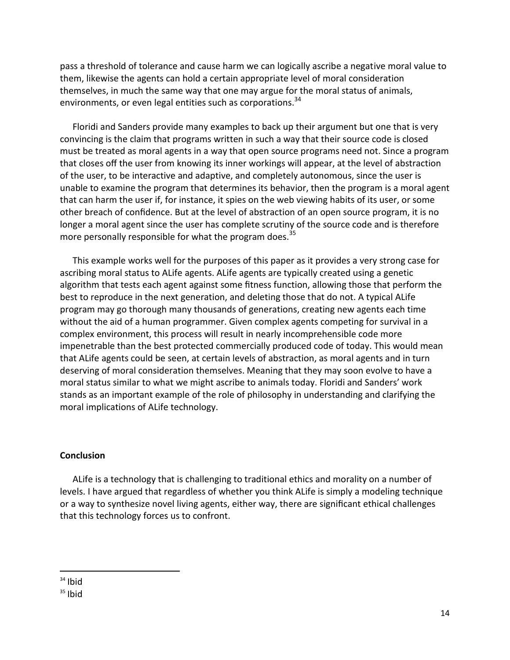pass a threshold of tolerance and cause harm we can logically ascribe a negative moral value to them, likewise the agents can hold a certain appropriate level of moral consideration themselves, in much the same way that one may argue for the moral status of animals, environments, or even legal entities such as corporations.<sup>34</sup>

Floridi and Sanders provide many examples to back up their argument but one that is very convincing is the claim that programs written in such a way that their source code is closed must be treated as moral agents in a way that open source programs need not. Since a program that closes off the user from knowing its inner workings will appear, at the level of abstraction of the user, to be interactive and adaptive, and completely autonomous, since the user is unable to examine the program that determines its behavior, then the program is a moral agent that can harm the user if, for instance, it spies on the web viewing habits of its user, or some other breach of confidence. But at the level of abstraction of an open source program, it is no longer a moral agent since the user has complete scrutiny of the source code and is therefore more personally responsible for what the program does.<sup>35</sup>

This example works well for the purposes of this paper as it provides a very strong case for ascribing moral status to ALife agents. ALife agents are typically created using a genetic algorithm that tests each agent against some fitness function, allowing those that perform the best to reproduce in the next generation, and deleting those that do not. A typical ALife program may go thorough many thousands of generations, creating new agents each time without the aid of a human programmer. Given complex agents competing for survival in a complex environment, this process will result in nearly incomprehensible code more impenetrable than the best protected commercially produced code of today. This would mean that ALife agents could be seen, at certain levels of abstraction, as moral agents and in turn deserving of moral consideration themselves. Meaning that they may soon evolve to have a moral status similar to what we might ascribe to animals today. Floridi and Sanders' work stands as an important example of the role of philosophy in understanding and clarifying the moral implications of ALife technology.

#### **Conclusion**

ALife is a technology that is challenging to traditional ethics and morality on a number of levels. I have argued that regardless of whether you think ALife is simply a modeling technique or a way to synthesize novel living agents, either way, there are significant ethical challenges that this technology forces us to confront.

 $34$  Ibid

 $35$  Ibid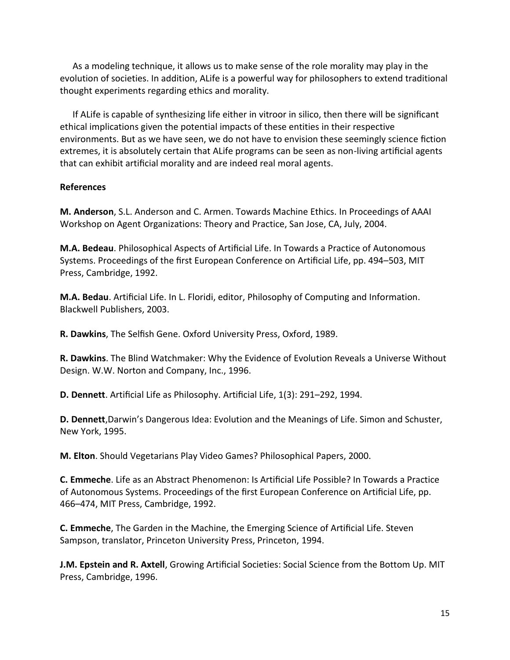As a modeling technique, it allows us to make sense of the role morality may play in the evolution of societies. In addition, ALife is a powerful way for philosophers to extend traditional thought experiments regarding ethics and morality.

If ALife is capable of synthesizing life either in vitroor in silico, then there will be significant ethical implications given the potential impacts of these entities in their respective environments. But as we have seen, we do not have to envision these seemingly science fiction extremes, it is absolutely certain that ALife programs can be seen as non-living artificial agents that can exhibit artificial morality and are indeed real moral agents.

# **References**

**M. Anderson**, S.L. Anderson and C. Armen. Towards Machine Ethics. In Proceedings of AAAI Workshop on Agent Organizations: Theory and Practice, San Jose, CA, July, 2004.

**M.A. Bedeau**. Philosophical Aspects of Artificial Life. In Towards a Practice of Autonomous Systems. Proceedings of the first European Conference on Artificial Life, pp. 494–503, MIT Press, Cambridge, 1992.

**M.A. Bedau**. Artificial Life. In L. Floridi, editor, Philosophy of Computing and Information. Blackwell Publishers, 2003.

**R. Dawkins**, The Selfish Gene. Oxford University Press, Oxford, 1989.

**R. Dawkins**. The Blind Watchmaker: Why the Evidence of Evolution Reveals a Universe Without Design. W.W. Norton and Company, Inc., 1996.

**D. Dennett**. Artificial Life as Philosophy. Artificial Life, 1(3): 291–292, 1994.

**D. Dennett**,Darwin's Dangerous Idea: Evolution and the Meanings of Life. Simon and Schuster, New York, 1995.

**M. Elton**. Should Vegetarians Play Video Games? Philosophical Papers, 2000.

**C. Emmeche**. Life as an Abstract Phenomenon: Is Artificial Life Possible? In Towards a Practice of Autonomous Systems. Proceedings of the first European Conference on Artificial Life, pp. 466–474, MIT Press, Cambridge, 1992.

**C. Emmeche**, The Garden in the Machine, the Emerging Science of Artificial Life. Steven Sampson, translator, Princeton University Press, Princeton, 1994.

**J.M. Epstein and R. Axtell**, Growing Artificial Societies: Social Science from the Bottom Up. MIT Press, Cambridge, 1996.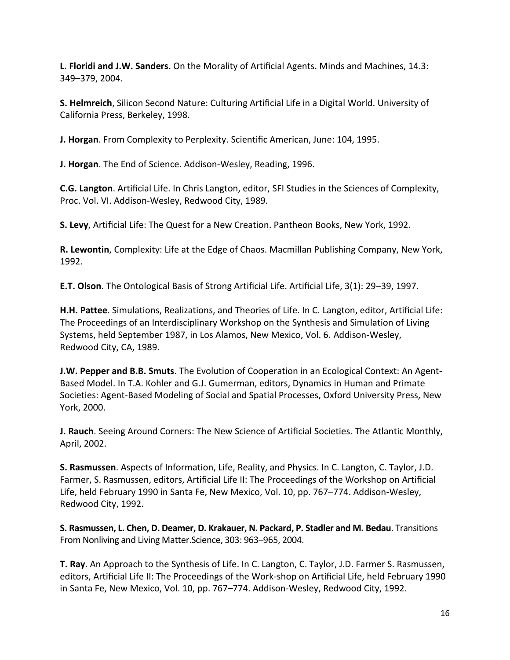**L. Floridi and J.W. Sanders**. On the Morality of Artificial Agents. Minds and Machines, 14.3: 349–379, 2004.

**S. Helmreich**, Silicon Second Nature: Culturing Artificial Life in a Digital World. University of California Press, Berkeley, 1998.

**J. Horgan**. From Complexity to Perplexity. Scientific American, June: 104, 1995.

**J. Horgan**. The End of Science. Addison-Wesley, Reading, 1996.

**C.G. Langton**. Artificial Life. In Chris Langton, editor, SFI Studies in the Sciences of Complexity, Proc. Vol. VI. Addison-Wesley, Redwood City, 1989.

**S. Levy**, Artificial Life: The Quest for a New Creation. Pantheon Books, New York, 1992.

**R. Lewontin**, Complexity: Life at the Edge of Chaos. Macmillan Publishing Company, New York, 1992.

**E.T. Olson**. The Ontological Basis of Strong Artificial Life. Artificial Life, 3(1): 29–39, 1997.

**H.H. Pattee**. Simulations, Realizations, and Theories of Life. In C. Langton, editor, Artificial Life: The Proceedings of an Interdisciplinary Workshop on the Synthesis and Simulation of Living Systems, held September 1987, in Los Alamos, New Mexico, Vol. 6. Addison-Wesley, Redwood City, CA, 1989.

**J.W. Pepper and B.B. Smuts**. The Evolution of Cooperation in an Ecological Context: An Agent-Based Model. In T.A. Kohler and G.J. Gumerman, editors, Dynamics in Human and Primate Societies: Agent-Based Modeling of Social and Spatial Processes, Oxford University Press, New York, 2000.

**J. Rauch**. Seeing Around Corners: The New Science of Artificial Societies. The Atlantic Monthly, April, 2002.

**S. Rasmussen**. Aspects of Information, Life, Reality, and Physics. In C. Langton, C. Taylor, J.D. Farmer, S. Rasmussen, editors, Artificial Life II: The Proceedings of the Workshop on Artificial Life, held February 1990 in Santa Fe, New Mexico, Vol. 10, pp. 767–774. Addison-Wesley, Redwood City, 1992.

**S. Rasmussen, L. Chen, D. Deamer, D. Krakauer, N. Packard, P. Stadler and M. Bedau**. Transitions From Nonliving and Living Matter.Science, 303: 963–965, 2004.

**T. Ray**. An Approach to the Synthesis of Life. In C. Langton, C. Taylor, J.D. Farmer S. Rasmussen, editors, Artificial Life II: The Proceedings of the Work-shop on Artificial Life, held February 1990 in Santa Fe, New Mexico, Vol. 10, pp. 767–774. Addison-Wesley, Redwood City, 1992.